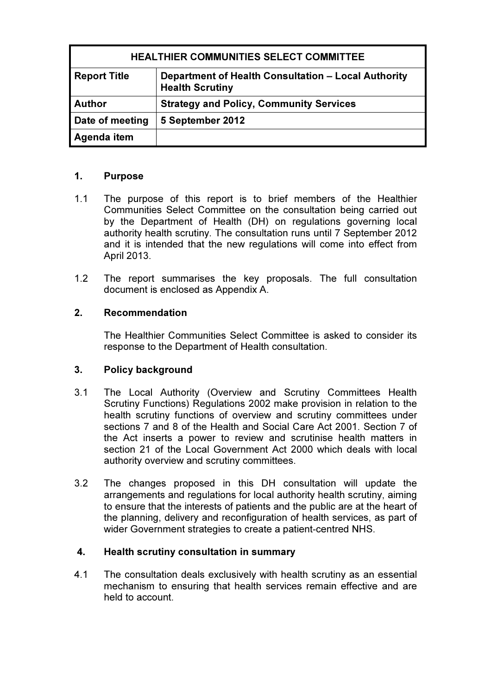| <b>HEALTHIER COMMUNITIES SELECT COMMITTEE</b> |                                                                               |
|-----------------------------------------------|-------------------------------------------------------------------------------|
| <b>Report Title</b>                           | Department of Health Consultation - Local Authority<br><b>Health Scrutiny</b> |
| <b>Author</b>                                 | <b>Strategy and Policy, Community Services</b>                                |
| Date of meeting                               | 5 September 2012                                                              |
| Agenda item                                   |                                                                               |

# 1. Purpose

- 1.1 The purpose of this report is to brief members of the Healthier Communities Select Committee on the consultation being carried out by the Department of Health (DH) on regulations governing local authority health scrutiny. The consultation runs until 7 September 2012 and it is intended that the new regulations will come into effect from April 2013.
- 1.2 The report summarises the key proposals. The full consultation document is enclosed as Appendix A.

## 2. Recommendation

The Healthier Communities Select Committee is asked to consider its response to the Department of Health consultation.

### 3. Policy background

- 3.1 The Local Authority (Overview and Scrutiny Committees Health Scrutiny Functions) Regulations 2002 make provision in relation to the health scrutiny functions of overview and scrutiny committees under sections 7 and 8 of the Health and Social Care Act 2001. Section 7 of the Act inserts a power to review and scrutinise health matters in section 21 of the Local Government Act 2000 which deals with local authority overview and scrutiny committees.
- 3.2 The changes proposed in this DH consultation will update the arrangements and regulations for local authority health scrutiny, aiming to ensure that the interests of patients and the public are at the heart of the planning, delivery and reconfiguration of health services, as part of wider Government strategies to create a patient-centred NHS.

### 4. Health scrutiny consultation in summary

4.1 The consultation deals exclusively with health scrutiny as an essential mechanism to ensuring that health services remain effective and are held to account.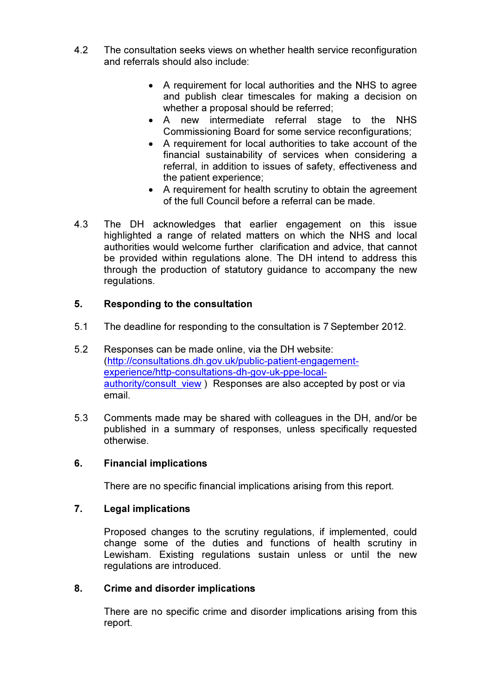- 4.2 The consultation seeks views on whether health service reconfiguration and referrals should also include:
	- A requirement for local authorities and the NHS to agree and publish clear timescales for making a decision on whether a proposal should be referred;
	- A new intermediate referral stage to the NHS Commissioning Board for some service reconfigurations;
	- A requirement for local authorities to take account of the financial sustainability of services when considering a referral, in addition to issues of safety, effectiveness and the patient experience;
	- A requirement for health scrutiny to obtain the agreement of the full Council before a referral can be made.
- 4.3 The DH acknowledges that earlier engagement on this issue highlighted a range of related matters on which the NHS and local authorities would welcome further clarification and advice, that cannot be provided within regulations alone. The DH intend to address this through the production of statutory guidance to accompany the new regulations.

## 5. Responding to the consultation

- 5.1 The deadline for responding to the consultation is 7 September 2012.
- 5.2 Responses can be made online, via the DH website: (http://consultations.dh.gov.uk/public-patient-engagementexperience/http-consultations-dh-gov-uk-ppe-localauthority/consult\_view ) Responses are also accepted by post or via email.
- 5.3 Comments made may be shared with colleagues in the DH, and/or be published in a summary of responses, unless specifically requested otherwise.

### 6. Financial implications

There are no specific financial implications arising from this report.

### 7. Legal implications

Proposed changes to the scrutiny regulations, if implemented, could change some of the duties and functions of health scrutiny in Lewisham. Existing regulations sustain unless or until the new regulations are introduced.

### 8. Crime and disorder implications

There are no specific crime and disorder implications arising from this report.